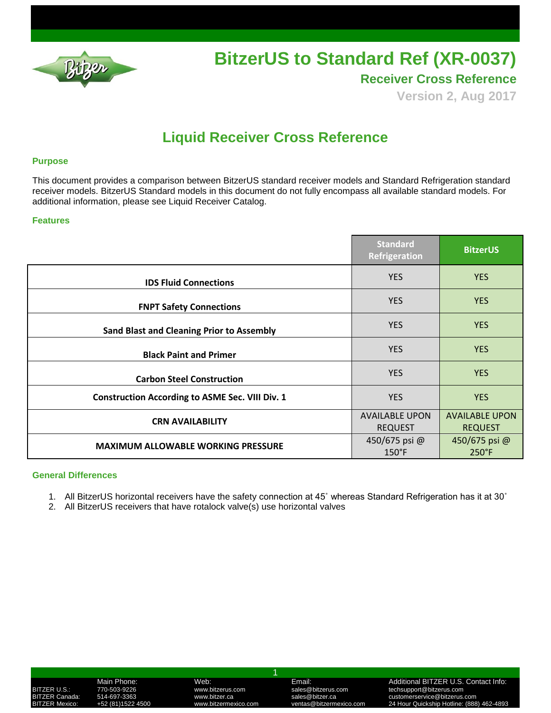

**Receiver Cross Reference**

**Version 2, Aug 2017**

## **Liquid Receiver Cross Reference**

### **Purpose**

This document provides a comparison between BitzerUS standard receiver models and Standard Refrigeration standard receiver models. BitzerUS Standard models in this document do not fully encompass all available standard models. For additional information, please see Liquid Receiver Catalog.

### **Features**

|                                                        | <b>Standard</b><br>Refrigeration        | <b>BitzerUS</b>                         |
|--------------------------------------------------------|-----------------------------------------|-----------------------------------------|
| <b>IDS Fluid Connections</b>                           | <b>YES</b>                              | <b>YES</b>                              |
| <b>FNPT Safety Connections</b>                         | <b>YES</b>                              | <b>YES</b>                              |
| <b>Sand Blast and Cleaning Prior to Assembly</b>       | <b>YES</b>                              | <b>YES</b>                              |
| <b>Black Paint and Primer</b>                          | <b>YES</b>                              | <b>YES</b>                              |
| <b>Carbon Steel Construction</b>                       | <b>YES</b>                              | <b>YES</b>                              |
| <b>Construction According to ASME Sec. VIII Div. 1</b> | <b>YES</b>                              | <b>YES</b>                              |
| <b>CRN AVAILABILITY</b>                                | <b>AVAILABLE UPON</b><br><b>REQUEST</b> | <b>AVAILABLE UPON</b><br><b>REQUEST</b> |
| <b>MAXIMUM ALLOWABLE WORKING PRESSURE</b>              | 450/675 psi @<br>$150^{\circ}$ F        | 450/675 psi @<br>$250^{\circ}$ F        |

### **General Differences**

- 1. All BitzerUS horizontal receivers have the safety connection at 45˚ whereas Standard Refrigeration has it at 30˚
- 2. All BitzerUS receivers that have rotalock valve(s) use horizontal valves

| BITZER U.S.:          |                |
|-----------------------|----------------|
|                       | BITZER Canada: |
| <b>BITZER Mexico:</b> |                |

1

BITZER U.S.: 770-503-9226 www.bitzerus.com sales@bitzerus.com techsupport@bitzerus.com

## Main Phone: Web: Web: Email: Email: Email: Additional BITZER U.S. Contact Info:<br>1999-1922-20 http://www.bitzerus.com sales@bitzerus.com techsupport@bitzerus.com

BITZER Canada: 514-697-3363 www.bitzer.ca sales@bitzer.ca customerservice@bitzerus.com Extremere interventasion.com ventas<br>24 Hour Quickship Hotline: (888) 462-4893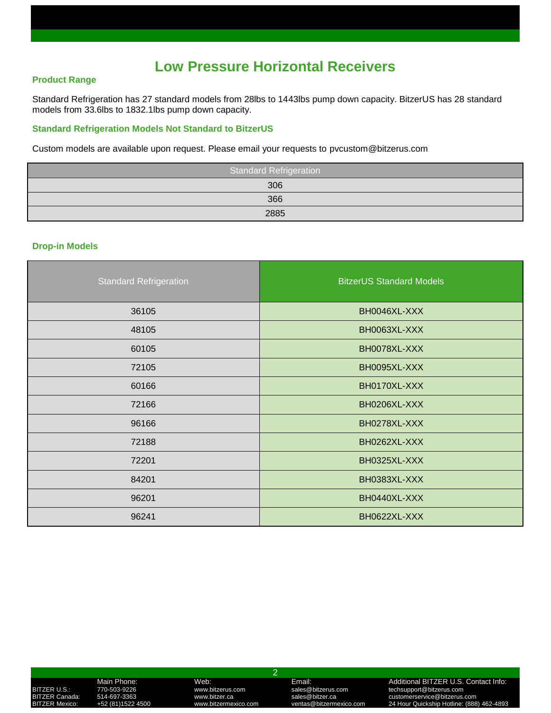## **Low Pressure Horizontal Receivers**

### **Product Range**

Standard Refrigeration has 27 standard models from 28lbs to 1443lbs pump down capacity. BitzerUS has 28 standard models from 33.6lbs to 1832.1lbs pump down capacity.

### **Standard Refrigeration Models Not Standard to BitzerUS**

Custom models are available upon request. Please email your requests to pvcustom@bitzerus.com

| <b>Standard Refrigeration</b> |
|-------------------------------|
| 306                           |
| 366                           |
| 2885                          |

### **Drop-in Models**

| <b>Standard Refrigeration</b> | <b>BitzerUS Standard Models</b> |
|-------------------------------|---------------------------------|
| 36105                         | BH0046XL-XXX                    |
| 48105                         | BH0063XL-XXX                    |
| 60105                         | BH0078XL-XXX                    |
| 72105                         | BH0095XL-XXX                    |
| 60166                         | BH0170XL-XXX                    |
| 72166                         | BH0206XL-XXX                    |
| 96166                         | BH0278XL-XXX                    |
| 72188                         | BH0262XL-XXX                    |
| 72201                         | BH0325XL-XXX                    |
| 84201                         | BH0383XL-XXX                    |
| 96201                         | BH0440XL-XXX                    |
| 96241                         | BH0622XL-XXX                    |

# Main Phone: Web: Email: Additional BITZER U.S. Contact Info:

### 2

BITZER U.S.: 770-503-9226 www.bitzerus.com sales@bitzerus.com techsupport@bitzerus.com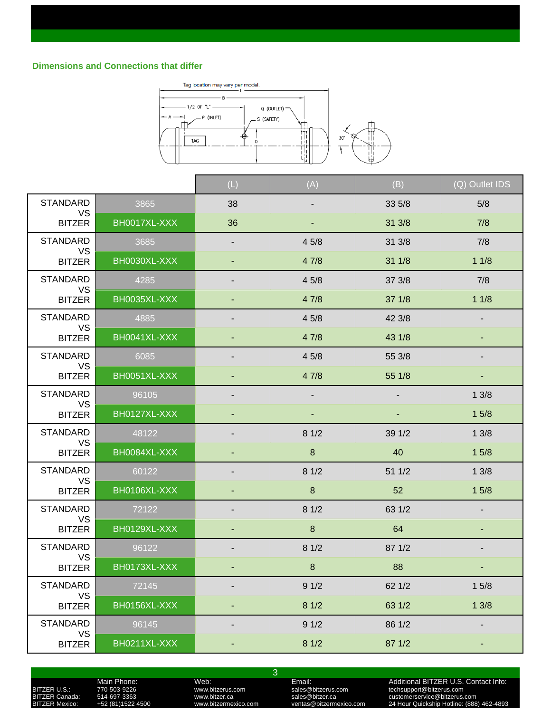

|                              |              | (L)                      | (A)                      | (B)    | (Q) Outlet IDS |
|------------------------------|--------------|--------------------------|--------------------------|--------|----------------|
| <b>STANDARD</b><br><b>VS</b> | 3865         | 38                       |                          | 33 5/8 | 5/8            |
| <b>BITZER</b>                | BH0017XL-XXX | 36                       |                          | 31 3/8 | 7/8            |
| <b>STANDARD</b><br><b>VS</b> | 3685         | ٠                        | 45/8                     | 31 3/8 | 7/8            |
| <b>BITZER</b>                | BH0030XL-XXX |                          | 47/8                     | 31 1/8 | 11/8           |
| <b>STANDARD</b><br><b>VS</b> | 4285         |                          | 45/8                     | 37 3/8 | 7/8            |
| <b>BITZER</b>                | BH0035XL-XXX |                          | 47/8                     | 37 1/8 | 11/8           |
| <b>STANDARD</b><br>VS        | 4885         | $\overline{\phantom{a}}$ | 45/8                     | 42 3/8 | $\blacksquare$ |
| <b>BITZER</b>                | BH0041XL-XXX |                          | 47/8                     | 43 1/8 |                |
| <b>STANDARD</b><br><b>VS</b> | 6085         |                          | 45/8                     | 55 3/8 |                |
| <b>BITZER</b>                | BH0051XL-XXX |                          | 47/8                     | 55 1/8 |                |
| <b>STANDARD</b><br><b>VS</b> | 96105        |                          | $\overline{\phantom{a}}$ |        | 13/8           |
| <b>BITZER</b>                | BH0127XL-XXX | ٠                        | ٠                        | ٠      | 15/8           |
| <b>STANDARD</b><br><b>VS</b> | 48122        |                          | 81/2                     | 39 1/2 | 13/8           |
| <b>BITZER</b>                | BH0084XL-XXX |                          | $\boldsymbol{8}$         | 40     | 15/8           |
| <b>STANDARD</b><br><b>VS</b> | 60122        |                          | 81/2                     | 51 1/2 | 13/8           |
| <b>BITZER</b>                | BH0106XL-XXX | ٠                        | 8                        | 52     | 15/8           |
| <b>STANDARD</b><br><b>VS</b> | 72122        | -                        | 81/2                     | 63 1/2 | $\blacksquare$ |
| <b>BITZER</b>                | BH0129XL-XXX |                          | $\bf 8$                  | 64     |                |
| <b>STANDARD</b><br><b>VS</b> | 96122        |                          | 81/2                     | 87 1/2 |                |
| <b>BITZER</b>                | BH0173XL-XXX |                          | $\bf 8$                  | 88     |                |
| STANDARD<br><b>VS</b>        | 72145        | -                        | 91/2                     | 62 1/2 | 15/8           |
| <b>BITZER</b>                | BH0156XL-XXX | ٠                        | 81/2                     | 63 1/2 | 13/8           |
| <b>STANDARD</b><br><b>VS</b> | 96145        | -                        | 91/2                     | 86 1/2 |                |
| <b>BITZER</b>                | BH0211XL-XXX |                          | 81/2                     | 87 1/2 | ۰              |

3

## Main Phone: Web: Web: Email: Email: Additional BITZER U.S. Contact Info:<br>
770-503-9226 www.bitzerus.com sales@bitzerus.com sales@bitzerus.com sales@bitzerus.com echsupport@bitzerus.com<br>
+52 (81)1522 4500 www.bitzermexico.c BITZER U.S.: 770-503-9226 www.bitzerus.com sales@bitzerus.com techsupport@bitzerus.com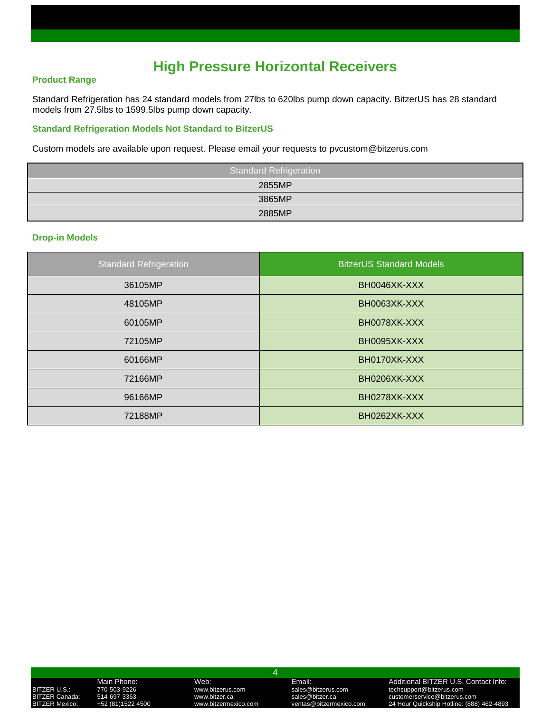## **High Pressure Horizontal Receivers**

### **Product Range**

Standard Refrigeration has 24 standard models from 27lbs to 620lbs pump down capacity. BitzerUS has 28 standard models from 27.5lbs to 1599.5lbs pump down capacity.

### **Standard Refrigeration Models Not Standard to BitzerUS**

Custom models are available upon request. Please email your requests to pvcustom@bitzerus.com

| Standard Refrigeration |  |  |  |
|------------------------|--|--|--|
| 2855MP                 |  |  |  |
| 3865MP                 |  |  |  |
| 2885MP                 |  |  |  |

### **Drop-in Models**

| <b>Standard Refrigeration</b> | <b>BitzerUS Standard Models</b> |
|-------------------------------|---------------------------------|
| 36105MP                       | BH0046XK-XXX                    |
| 48105MP                       | BH0063XK-XXX                    |
| 60105MP                       | BH0078XK-XXX                    |
| 72105MP                       | BH0095XK-XXX                    |
| 60166MP                       | BH0170XK-XXX                    |
| 72166MP                       | BH0206XK-XXX                    |
| 96166MP                       | BH0278XK-XXX                    |
| 72188MP                       | BH0262XK-XXX                    |

### 4

BITZER U.S.: 770-503-9226 www.bitzerus.com sales@bitzerus.com techsupport@bitzerus.com

Main Phone: Web: Email: Additional BITZER U.S. Contact Info: BITZER Canada: 514-697-3363 www.bitzer.ca sales@bitzer.ca customerservice@bitzerus.com BITZER Mexico: +52 (81)1522 4500 www.bitzermexico.com ventas@bitzermexico.com 24 Hour Quickship Hotline: (888) 462-4893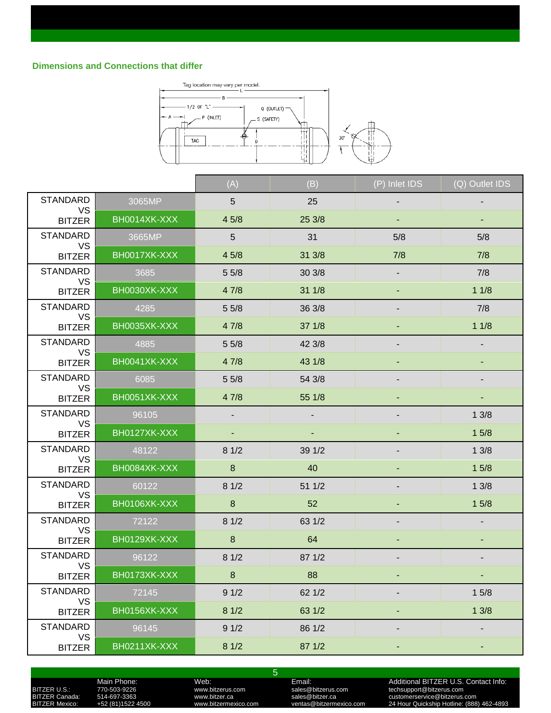

|                              |              | (A)                      | (B)    | (P) Inlet IDS | (Q) Outlet IDS           |
|------------------------------|--------------|--------------------------|--------|---------------|--------------------------|
| <b>STANDARD</b><br><b>VS</b> | 3065MP       | $5\phantom{.0}$          | 25     |               |                          |
| <b>BITZER</b>                | BH0014XK-XXX | 45/8                     | 25 3/8 |               | ٠                        |
| <b>STANDARD</b>              | 3665MP       | $5\overline{)}$          | 31     | 5/8           | 5/8                      |
| VS<br><b>BITZER</b>          | BH0017XK-XXX | 45/8                     | 31 3/8 | 7/8           | 7/8                      |
| <b>STANDARD</b><br><b>VS</b> | 3685         | 55/8                     | 30 3/8 |               | 7/8                      |
| <b>BITZER</b>                | BH0030XK-XXX | 47/8                     | 31 1/8 |               | 11/8                     |
| <b>STANDARD</b><br><b>VS</b> | 4285         | 55/8                     | 36 3/8 |               | 7/8                      |
| <b>BITZER</b>                | BH0035XK-XXX | 47/8                     | 37 1/8 |               | 11/8                     |
| <b>STANDARD</b><br><b>VS</b> | 4885         | 55/8                     | 42 3/8 |               |                          |
| <b>BITZER</b>                | BH0041XK-XXX | 47/8                     | 43 1/8 |               |                          |
| <b>STANDARD</b><br><b>VS</b> | 6085         | 55/8                     | 54 3/8 |               | $\overline{\phantom{a}}$ |
| <b>BITZER</b>                | BH0051XK-XXX | 47/8                     | 55 1/8 |               |                          |
| <b>STANDARD</b><br>VS        | 96105        | $\overline{\phantom{a}}$ | ٠      |               | 13/8                     |
| <b>BITZER</b>                | BH0127XK-XXX |                          |        |               | 15/8                     |
| <b>STANDARD</b><br><b>VS</b> | 48122        | 81/2                     | 39 1/2 |               | 13/8                     |
| <b>BITZER</b>                | BH0084XK-XXX | 8                        | 40     |               | 15/8                     |
| <b>STANDARD</b><br>VS        | 60122        | 81/2                     | 51 1/2 |               | 13/8                     |
| <b>BITZER</b>                | BH0106XK-XXX | $\bf{8}$                 | 52     |               | 15/8                     |
| <b>STANDARD</b><br><b>VS</b> | 72122        | 81/2                     | 63 1/2 |               | $\overline{\phantom{a}}$ |
| <b>BITZER</b>                | BH0129XK-XXX | $\bf 8$                  | 64     |               |                          |
| <b>STANDARD</b><br><b>VS</b> | 96122        | 81/2                     | 87 1/2 |               |                          |
| <b>BITZER</b>                | BH0173XK-XXX | $\bf 8$                  | 88     |               |                          |
| <b>STANDARD</b>              | 72145        | 91/2                     | 62 1/2 |               | 15/8                     |
| VS<br><b>BITZER</b>          | BH0156XK-XXX | 81/2                     | 63 1/2 |               | 13/8                     |
| <b>STANDARD</b><br><b>VS</b> | 96145        | 91/2                     | 86 1/2 |               |                          |
| <b>BITZER</b>                | BH0211XK-XXX | 81/2                     | 87 1/2 |               |                          |

5

### BITZER U.S.: 770-503-9226 www.bitzerus.com sales@bitzerus.com techsupport@bitzerus.com

Main Phone: Web: Web: Email: Email: Additional BITZER U.S. Contact Info:<br>
770-503-9226 www.bitzerus.com sales@bitzerus.com sales@bitzerus.com sales@bitzerus.com echsupport@bitzerus.com<br>
+52 (81)1522 4500 www.bitzermexico.c BITZER Canada: 514-697-3363 www.bitzer.ca sales@bitzer.ca customerservice@bitzerus.com BITZER Mexico: +52 (81)1522 4500 www.bitzermexico.com ventas@bitzermexico.com 24 Hour Quickship Hotline: (888) 462-4893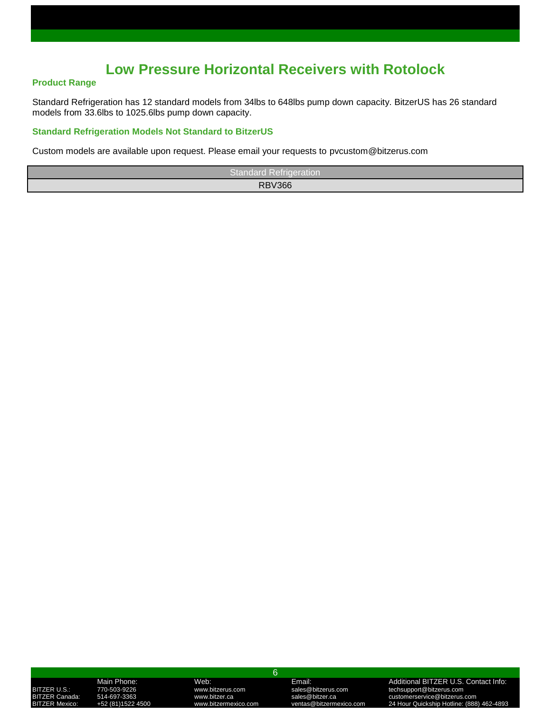## **Low Pressure Horizontal Receivers with Rotolock**

### **Product Range**

Standard Refrigeration has 12 standard models from 34lbs to 648lbs pump down capacity. BitzerUS has 26 standard models from 33.6lbs to 1025.6lbs pump down capacity.

### **Standard Refrigeration Models Not Standard to BitzerUS**

Custom models are available upon request. Please email your requests to pvcustom@bitzerus.com

| <b>Standard Refrigeration</b> |
|-------------------------------|
| <b>RBV366</b>                 |

### 6

BITZER U.S.: 770-503-9226 www.bitzerus.com sales@bitzerus.com techsupport@bitzerus.com

Main Phone: Web: Email: Additional BITZER U.S. Contact Info: ITZER Canada: 514-697-3363 www.bitzer.ca sales@bitzer.ca customerservice@bitzerus.com<br>TZER Mexico: +52 (81)1522 4500 www.bitzermexico.com ventas@bitzermexico.com 24 Hour Quickship Hotline: (888 BITZER Mexico: +52 (81)1522 4500 www.bitzermexico.com ventas@bitzermexico.com 24 Hour Quickship Hotline: (888) 462-4893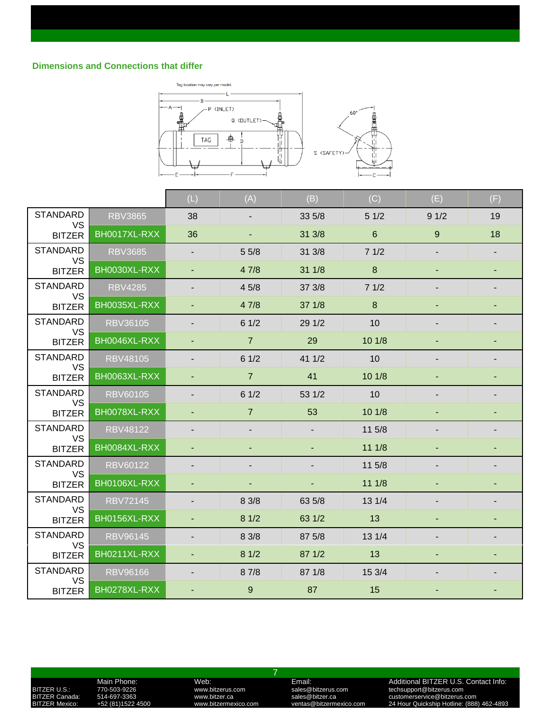

|                              |                 | (L)                      | (A)            | (B)    | (C)             | (E)            | (F) |
|------------------------------|-----------------|--------------------------|----------------|--------|-----------------|----------------|-----|
| <b>STANDARD</b><br><b>VS</b> | <b>RBV3865</b>  | 38                       | ٠              | 33 5/8 | 51/2            | 91/2           | 19  |
| <b>BITZER</b>                | BH0017XL-RXX    | 36                       | ٠              | 31 3/8 | $6\phantom{1}6$ | 9              | 18  |
| <b>STANDARD</b><br>VS        | <b>RBV3685</b>  | $\overline{\phantom{a}}$ | 55/8           | 31 3/8 | 71/2            |                |     |
| <b>BITZER</b>                | BH0030XL-RXX    | $\overline{\phantom{a}}$ | 47/8           | 31 1/8 | $\bf 8$         | ٠              |     |
| <b>STANDARD</b><br><b>VS</b> | <b>RBV4285</b>  | $\blacksquare$           | 45/8           | 37 3/8 | 71/2            |                |     |
| <b>BITZER</b>                | BH0035XL-RXX    |                          | 47/8           | 37 1/8 | $\bf 8$         |                |     |
| <b>STANDARD</b><br><b>VS</b> | <b>RBV36105</b> |                          | 61/2           | 29 1/2 | 10              |                |     |
| <b>BITZER</b>                | BH0046XL-RXX    | ٠                        | $\overline{7}$ | 29     | 101/8           |                |     |
| <b>STANDARD</b>              | <b>RBV48105</b> | $\blacksquare$           | 61/2           | 41 1/2 | 10              |                |     |
| VS<br><b>BITZER</b>          | BH0063XL-RXX    |                          | $\overline{7}$ | 41     | 101/8           |                |     |
| <b>STANDARD</b>              | <b>RBV60105</b> | ٠                        | 61/2           | 53 1/2 | 10              |                |     |
| <b>VS</b><br><b>BITZER</b>   | BH0078XL-RXX    | ٠                        | $\overline{7}$ | 53     | 101/8           |                |     |
| <b>STANDARD</b>              | <b>RBV48122</b> |                          |                |        | 11 5/8          |                |     |
| VS<br><b>BITZER</b>          | BH0084XL-RXX    | ٠                        |                |        | 111/8           |                |     |
| <b>STANDARD</b>              | <b>RBV60122</b> | ٠                        |                |        | 11 5/8          | $\blacksquare$ |     |
| VS<br><b>BITZER</b>          | BH0106XL-RXX    |                          |                |        | 111/8           |                |     |
| <b>STANDARD</b><br><b>VS</b> | <b>RBV72145</b> |                          | 8 3/8          | 63 5/8 | 13 1/4          |                |     |
| <b>BITZER</b>                | BH0156XL-RXX    | $\overline{\phantom{a}}$ | 81/2           | 63 1/2 | 13              |                |     |
| <b>STANDARD</b><br>VS        | <b>RBV96145</b> |                          | 8 3/8          | 87 5/8 | 13 1/4          |                |     |
| <b>BITZER</b>                | BH0211XL-RXX    |                          | 81/2           | 87 1/2 | 13              |                |     |
| <b>STANDARD</b><br><b>VS</b> | <b>RBV96166</b> |                          | 8 7/8          | 87 1/8 | 15 3/4          |                |     |
| <b>BITZER</b>                | BH0278XL-RXX    |                          | $9\,$          | 87     | 15              |                |     |

Main Phone: Web: Web: Email: Email: Additional BITZER U.S. Contact Info:<br>170-503-9226 www.bitzerus.com sales@bitzerus.com techsupport@bitzerus.com<br>14-697-3363 www.bitzer.ca sales@bitzer.ca customerservice@bitzerus.com

7

BITZER U.S.: 770-503-9226 www.bitzerus.com sales@bitzerus.com techsupport@bitzerus.com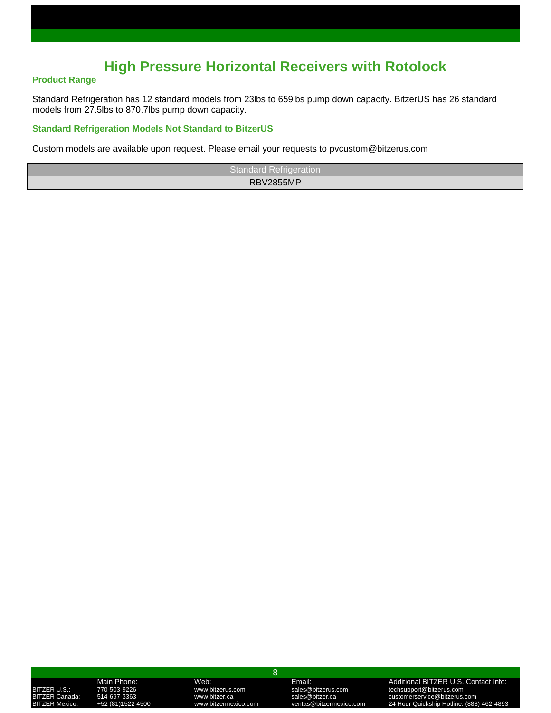## **High Pressure Horizontal Receivers with Rotolock**

### **Product Range**

Standard Refrigeration has 12 standard models from 23lbs to 659lbs pump down capacity. BitzerUS has 26 standard models from 27.5lbs to 870.7lbs pump down capacity.

### **Standard Refrigeration Models Not Standard to BitzerUS**

Custom models are available upon request. Please email your requests to pvcustom@bitzerus.com

| <b>Standard Refrigeration</b> |  |
|-------------------------------|--|
| <b>RBV2855MP</b>              |  |

### 8

BITZER U.S.: 770-503-9226 www.bitzerus.com sales@bitzerus.com techsupport@bitzerus.com

Main Phone: Web: Email: Additional BITZER U.S. Contact Info: TZER Canada: 514-697-3363 www.bitzer.ca sales@bitzer.ca customerservice@bitzerus.com<br>1988) TZER Mexico: +52 (81)1522 4500 www.bitzermexico.com ventas@bitzermexico.com 24 Hour Quickship Hotline: BITZER Mexico: +52 (81)1522 4500 www.bitzermexico.com ventas@bitzermexico.com 24 Hour Quickship Hotline: (888) 462-4893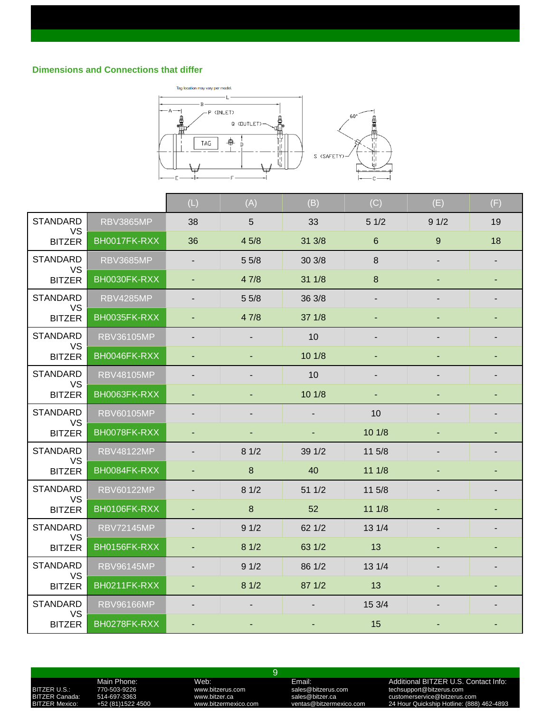

|                              |                   | (L)                      | (A)              | (B)             | (C)            | (E)  | (F) |
|------------------------------|-------------------|--------------------------|------------------|-----------------|----------------|------|-----|
| <b>STANDARD</b>              | <b>RBV3865MP</b>  | 38                       | 5                | 33              | 51/2           | 91/2 | 19  |
| <b>VS</b><br><b>BITZER</b>   | BH0017FK-RXX      | 36                       | 45/8             | 31 3/8          | $6\phantom{1}$ | 9    | 18  |
| <b>STANDARD</b><br><b>VS</b> | <b>RBV3685MP</b>  |                          | 55/8             | 30 3/8          | 8              |      |     |
| <b>BITZER</b>                | BH0030FK-RXX      | ٠                        | 47/8             | 311/8           | 8              |      |     |
| <b>STANDARD</b><br>VS        | <b>RBV4285MP</b>  |                          | 55/8             | 36 3/8          |                |      |     |
| <b>BITZER</b>                | BH0035FK-RXX      |                          | 47/8             | 371/8           |                |      |     |
| <b>STANDARD</b><br><b>VS</b> | <b>RBV36105MP</b> |                          |                  | 10 <sup>°</sup> |                |      |     |
| <b>BITZER</b>                | BH0046FK-RXX      | ٠                        |                  | 101/8           |                |      |     |
| <b>STANDARD</b>              | <b>RBV48105MP</b> |                          |                  | 10              |                |      |     |
| VS<br><b>BITZER</b>          | BH0063FK-RXX      |                          |                  | 101/8           |                |      |     |
| <b>STANDARD</b><br>VS        | <b>RBV60105MP</b> |                          |                  |                 | 10             |      |     |
| <b>BITZER</b>                | BH0078FK-RXX      | $\blacksquare$           |                  | $\blacksquare$  | 101/8          |      |     |
| <b>STANDARD</b><br>VS        | <b>RBV48122MP</b> | $\overline{\phantom{a}}$ | 81/2             | 39 1/2          | 11 5/8         |      |     |
| <b>BITZER</b>                | BH0084FK-RXX      |                          | $\boldsymbol{8}$ | 40              | 111/8          |      |     |
| <b>STANDARD</b><br>VS        | <b>RBV60122MP</b> | $\overline{\phantom{a}}$ | 81/2             | 51 1/2          | 11 5/8         |      |     |
| <b>BITZER</b>                | BH0106FK-RXX      | ٠                        | 8                | 52              | 111/8          |      |     |
| <b>STANDARD</b><br>VS        | <b>RBV72145MP</b> |                          | 91/2             | 621/2           | 13 1/4         |      |     |
| <b>BITZER</b>                | BH0156FK-RXX      | ÷.                       | 81/2             | 63 1/2          | 13             |      |     |
| <b>STANDARD</b><br><b>VS</b> | <b>RBV96145MP</b> |                          | 91/2             | 86 1/2          | 13 1/4         |      |     |
| <b>BITZER</b>                | BH0211FK-RXX      | $\blacksquare$           | 81/2             | 87 1/2          | 13             |      |     |
| <b>STANDARD</b><br><b>VS</b> | <b>RBV96166MP</b> |                          |                  |                 | 15 3/4         |      |     |
| <b>BITZER</b>                | BH0278FK-RXX      |                          |                  |                 | 15             |      |     |

Main Phone: Web: Web: Email: Email: Additional BITZER U.S. Contact Info:<br>170-503-9226 www.bitzerus.com sales@bitzerus.com techsupport@bitzerus.com<br>14-697-3363 www.bitzer.ca sales@bitzer.ca customerservice@bitzerus.com

9

BITZER U.S.: 770-503-9226 www.bitzerus.com sales@bitzerus.com techsupport@bitzerus.com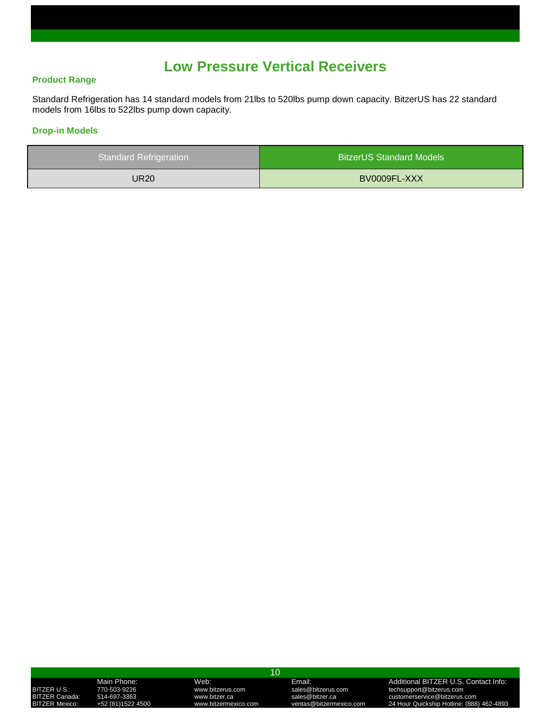## **Low Pressure Vertical Receivers**

### **Product Range**

Standard Refrigeration has 14 standard models from 21lbs to 520lbs pump down capacity. BitzerUS has 22 standard models from 16lbs to 522lbs pump down capacity.

### **Drop-in Models**

| <b>Standard Refrigeration</b> | <b>BitzerUS Standard Models</b> |
|-------------------------------|---------------------------------|
| UR20                          | BV0009FL-XXX                    |

### 10

BITZER U.S.: 770-503-9226 www.bitzerus.com sales@bitzerus.com techsupport@bitzerus.com

Main Phone: Web: Email: Additional BITZER U.S. Contact Info: BITZER Canada: 514-697-3363 www.bitzer.ca sales@bitzer.ca customerservice@bitzerus.com BITZER Mexico: +52 (81)1522 4500 www.bitzermexico.com ventas@bitzermexico.com 24 Hour Quickship Hotline: (888) 462-4893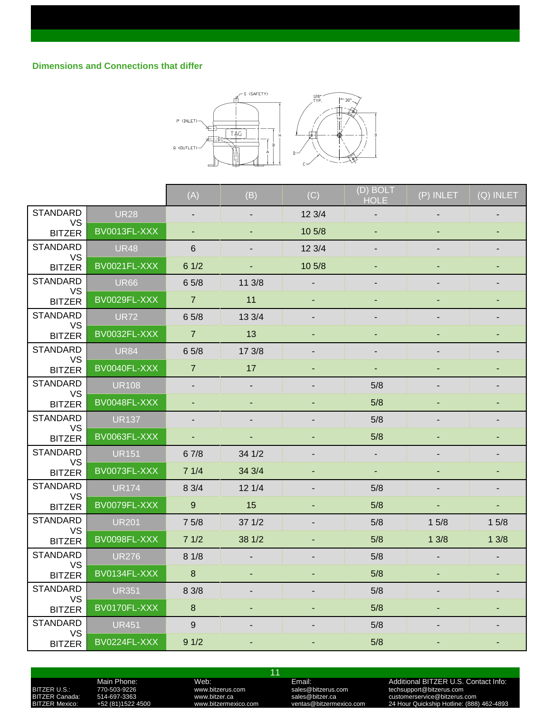

|                              |              | (A)                      | (B)                      | (C)               | (D) BOLT<br><b>HOLE</b> | (P) INLET      | (Q) INLET |
|------------------------------|--------------|--------------------------|--------------------------|-------------------|-------------------------|----------------|-----------|
| <b>STANDARD</b>              | <b>UR28</b>  |                          |                          | 123/4             |                         |                |           |
| <b>VS</b><br><b>BITZER</b>   | BV0013FL-XXX | $\sim$                   |                          | 10 <sub>5/8</sub> |                         |                |           |
| <b>STANDARD</b>              | <b>UR48</b>  | 6                        |                          | 123/4             |                         |                |           |
| <b>VS</b><br><b>BITZER</b>   | BV0021FL-XXX | 61/2                     |                          | 10 5/8            |                         |                |           |
| <b>STANDARD</b>              | <b>UR66</b>  | 6 5/8                    | 11 3/8                   |                   |                         |                |           |
| VS.<br><b>BITZER</b>         | BV0029FL-XXX | $\overline{7}$           | 11                       |                   |                         |                |           |
| <b>STANDARD</b><br><b>VS</b> | <b>UR72</b>  | 65/8                     | 13 3/4                   |                   |                         |                |           |
| <b>BITZER</b>                | BV0032FL-XXX | $\overline{7}$           | 13                       |                   |                         |                |           |
| <b>STANDARD</b><br><b>VS</b> | <b>UR84</b>  | 65/8                     | 17 3/8                   |                   |                         |                |           |
| <b>BITZER</b>                | BV0040FL-XXX | $\overline{7}$           | 17                       |                   |                         |                |           |
| <b>STANDARD</b><br><b>VS</b> | <b>UR108</b> | $\overline{\phantom{a}}$ | $\overline{\phantom{a}}$ |                   | 5/8                     |                |           |
| <b>BITZER</b>                | BV0048FL-XXX |                          |                          |                   | 5/8                     |                |           |
| <b>STANDARD</b><br><b>VS</b> | <b>UR137</b> |                          |                          |                   | 5/8                     |                |           |
| <b>BITZER</b>                | BV0063FL-XXX | ÷.                       | $\blacksquare$           |                   | 5/8                     | $\blacksquare$ |           |
| <b>STANDARD</b><br><b>VS</b> | <b>UR151</b> | 67/8                     | 34 1/2                   |                   |                         |                |           |
| <b>BITZER</b>                | BV0073FL-XXX | 71/4                     | 34 3/4                   |                   |                         |                |           |
| <b>STANDARD</b><br><b>VS</b> | <b>UR174</b> | 8 3/4                    | 121/4                    |                   | 5/8                     |                |           |
| <b>BITZER</b>                | BV0079FL-XXX | 9 <sup>°</sup>           | 15                       |                   | 5/8                     | $\blacksquare$ | ٠         |
| <b>STANDARD</b><br><b>VS</b> | <b>UR201</b> | 75/8                     | 37 1/2                   |                   | 5/8                     | 15/8           | 15/8      |
| <b>BITZER</b>                | BV0098FL-XXX | 71/2                     | 38 1/2                   |                   | 5/8                     | 13/8           | 13/8      |
| <b>STANDARD</b><br>VS.       | <b>UR276</b> | 81/8                     |                          |                   | 5/8                     |                |           |
| <b>BITZER</b>                | BV0134FL-XXX | 8                        | $\sim$                   |                   | 5/8                     | $\blacksquare$ |           |
| <b>STANDARD</b><br><b>VS</b> | <b>UR351</b> | 8 3/8                    |                          |                   | 5/8                     |                |           |
| <b>BITZER</b>                | BV0170FL-XXX | 8                        |                          |                   | 5/8                     |                |           |
| <b>STANDARD</b><br><b>VS</b> | <b>UR451</b> | 9                        |                          |                   | 5/8                     |                |           |
| <b>BITZER</b>                | BV0224FL-XXX | 91/2                     |                          |                   | 5/8                     |                |           |

Main Phone: Web: The Contact Info:<br>
TT0-503-9226 www.bitzerus.com sales@bitzerus.com techsupport@bitzerus.com<br>
514-697-3363 www.bitzer.ca sales@bitzer.ca customerservice@bitzerus.com

11

BITZER U.S.: 770-503-9226 www.bitzerus.com sales@bitzerus.com techsupport@bitzerus.com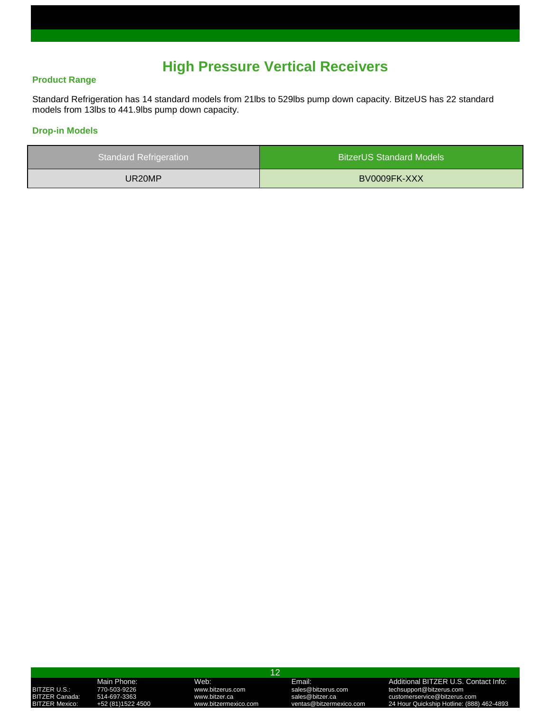## **High Pressure Vertical Receivers**

### **Product Range**

Standard Refrigeration has 14 standard models from 21lbs to 529lbs pump down capacity. BitzeUS has 22 standard models from 13lbs to 441.9lbs pump down capacity.

### **Drop-in Models**

| <b>Standard Refrigeration</b> | <b>BitzerUS Standard Models</b> |
|-------------------------------|---------------------------------|
| UR20MP                        | BV0009FK-XXX                    |

### 12

BITZER U.S.: 770-503-9226 www.bitzerus.com sales@bitzerus.com clechsupport@bitzerus.com<br>BITZER Canada: 514-697-3363 www.bitzer.ca sales@bitzer.ca customerservice@bitzerus.com

Main Phone: Web: Email: Additional BITZER U.S. Contact Info: ITZER Canada: 514-697-3363 www.bitzer.ca sales@bitzer.ca customerservice@bitzerus.com<br>ITZER Mexico: +52 (81)1522 4500 www.bitzermexico.com ventas@bitzermexico.com 24 Hour Quickship Hotline: (888 BITZER Mexico: +52 (81)1522 4500 www.bitzermexico.com ventas@bitzermexico.com 24 Hour Quickship Hotline: (888) 462-4893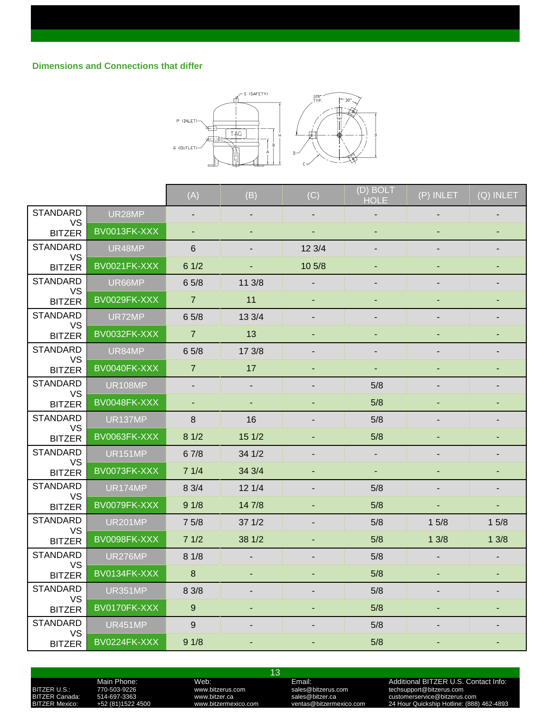

|                              |                | (A)            | (B)    | (C)            | (D) BOLT<br><b>HOLE</b> | (P) INLET     | (Q) INLET |
|------------------------------|----------------|----------------|--------|----------------|-------------------------|---------------|-----------|
| <b>STANDARD</b>              | UR28MP         |                |        |                |                         |               |           |
| <b>VS</b><br><b>BITZER</b>   | BV0013FK-XXX   | $\blacksquare$ | ä,     | $\blacksquare$ |                         |               |           |
| <b>STANDARD</b>              | UR48MP         | $6\phantom{1}$ |        | 12 3/4         |                         |               |           |
| VS<br><b>BITZER</b>          | BV0021FK-XXX   | 61/2           |        | 10 5/8         |                         |               |           |
| <b>STANDARD</b>              | UR66MP         | 65/8           | 11 3/8 |                |                         |               |           |
| VS<br><b>BITZER</b>          | BV0029FK-XXX   | $\overline{7}$ | 11     | ٠              |                         |               |           |
| <b>STANDARD</b><br><b>VS</b> | UR72MP         | 65/8           | 13 3/4 |                |                         |               |           |
| <b>BITZER</b>                | BV0032FK-XXX   | $\overline{7}$ | 13     |                |                         |               |           |
| <b>STANDARD</b><br>VS        | UR84MP         | 65/8           | 17 3/8 |                |                         |               |           |
| <b>BITZER</b>                | BV0040FK-XXX   | $\overline{7}$ | 17     |                | ٠                       |               |           |
| <b>STANDARD</b>              | <b>UR108MP</b> |                |        |                | 5/8                     |               |           |
| VS<br><b>BITZER</b>          | BV0048FK-XXX   |                |        |                | 5/8                     |               |           |
| <b>STANDARD</b><br>VS        | <b>UR137MP</b> | 8              | 16     |                | 5/8                     |               |           |
| <b>BITZER</b>                | BV0063FK-XXX   | 81/2           | 15 1/2 |                | 5/8                     |               |           |
| <b>STANDARD</b><br>VS        | <b>UR151MP</b> | 67/8           | 34 1/2 |                |                         |               |           |
| <b>BITZER</b>                | BV0073FK-XXX   | 71/4           | 34 3/4 |                |                         |               |           |
| <b>STANDARD</b><br><b>VS</b> | <b>UR174MP</b> | 8 3/4          | 121/4  |                | 5/8                     |               |           |
| <b>BITZER</b>                | BV0079FK-XXX   | 91/8           | 14 7/8 |                | 5/8                     | $\frac{1}{2}$ |           |
| <b>STANDARD</b><br>VS        | <b>UR201MP</b> | 75/8           | 371/2  |                | 5/8                     | 15/8          | 15/8      |
| <b>BITZER</b>                | BV0098FK-XXX   | 71/2           | 38 1/2 |                | 5/8                     | 13/8          | 13/8      |
| <b>STANDARD</b><br><b>VS</b> | UR276MP        | 81/8           |        |                | 5/8                     |               |           |
| <b>BITZER</b>                | BV0134FK-XXX   | 8              | ä,     |                | 5/8                     | $\frac{1}{2}$ |           |
| <b>STANDARD</b><br><b>VS</b> | <b>UR351MP</b> | 8 3/8          |        |                | 5/8                     |               |           |
| <b>BITZER</b>                | BV0170FK-XXX   | $9\,$          |        |                | 5/8                     |               |           |
| <b>STANDARD</b><br><b>VS</b> | <b>UR451MP</b> | $\overline{9}$ |        |                | 5/8                     |               |           |
| <b>BITZER</b>                | BV0224FK-XXX   | 91/8           |        |                | 5/8                     |               |           |

Main Phone: Web: Web: Email: Email: Additional BITZER U.S. Contact Info:<br>170-503-9226 www.bitzerus.com sales@bitzerus.com techsupport@bitzerus.com<br>14-697-3363 www.bitzer.ca sales@bitzer.ca customerservice@bitzerus.com BITZER U.S.: 770-503-9226 www.bitzerus.com sales@bitzerus.com techsupport@bitzerus.com

13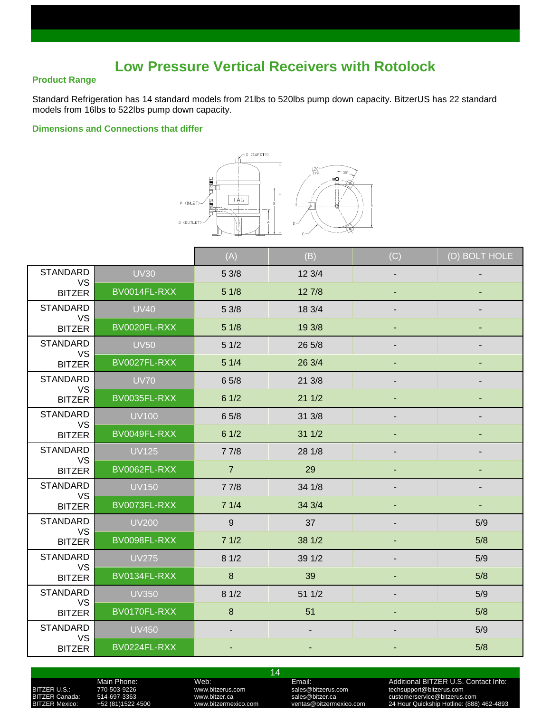## **Low Pressure Vertical Receivers with Rotolock**

### **Product Range**

Standard Refrigeration has 14 standard models from 21lbs to 520lbs pump down capacity. BitzerUS has 22 standard models from 16lbs to 522lbs pump down capacity.

### **Dimensions and Connections that differ**



|                              |              | (A)              | (B)    | (C)                      | (D) BOLT HOLE |
|------------------------------|--------------|------------------|--------|--------------------------|---------------|
| <b>STANDARD</b>              | <b>UV30</b>  | 53/8             | 123/4  |                          |               |
| <b>VS</b><br><b>BITZER</b>   | BV0014FL-RXX | 51/8             | 127/8  |                          |               |
| <b>STANDARD</b>              | <b>UV40</b>  | 53/8             | 18 3/4 | $\overline{\phantom{a}}$ |               |
| <b>VS</b><br><b>BITZER</b>   | BV0020FL-RXX | 51/8             | 19 3/8 |                          |               |
| <b>STANDARD</b>              | <b>UV50</b>  | 51/2             | 26 5/8 |                          |               |
| <b>VS</b><br><b>BITZER</b>   | BV0027FL-RXX | 51/4             | 26 3/4 |                          |               |
| <b>STANDARD</b>              | <b>UV70</b>  | 65/8             | 21 3/8 | ٠                        |               |
| <b>VS</b><br><b>BITZER</b>   | BV0035FL-RXX | 61/2             | 211/2  |                          |               |
| <b>STANDARD</b><br><b>VS</b> | <b>UV100</b> | 65/8             | 31 3/8 |                          |               |
| <b>BITZER</b>                | BV0049FL-RXX | 61/2             | 311/2  | ٠                        |               |
| <b>STANDARD</b>              | <b>UV125</b> | 77/8             | 28 1/8 |                          |               |
| <b>VS</b><br><b>BITZER</b>   | BV0062FL-RXX | $\overline{7}$   | 29     |                          |               |
| <b>STANDARD</b><br><b>VS</b> | <b>UV150</b> | 77/8             | 34 1/8 |                          |               |
| <b>BITZER</b>                | BV0073FL-RXX | 71/4             | 34 3/4 |                          |               |
| <b>STANDARD</b>              | <b>UV200</b> | 9                | 37     |                          | 5/9           |
| <b>VS</b><br><b>BITZER</b>   | BV0098FL-RXX | 71/2             | 38 1/2 |                          | 5/8           |
| <b>STANDARD</b><br><b>VS</b> | <b>UV275</b> | 81/2             | 39 1/2 |                          | 5/9           |
| <b>BITZER</b>                | BV0134FL-RXX | $\boldsymbol{8}$ | 39     | ٠                        | 5/8           |
| <b>STANDARD</b>              | <b>UV350</b> | 81/2             | 51 1/2 |                          | 5/9           |
| VS<br><b>BITZER</b>          | BV0170FL-RXX | 8                | 51     |                          | 5/8           |
| <b>STANDARD</b><br><b>VS</b> | <b>UV450</b> | ٠                |        |                          | 5/9           |
| <b>BITZER</b>                | BV0224FL-RXX | ٠                |        |                          | 5/8           |

14

Main Phone: Web: Email: Additional BITZER U.S. Contact Info:

BITZER U.S.: 770-503-9226 www.bitzerus.com sales@bitzerus.com controlled techsupport@bitzerus.com<br>BITZER Canada: 514-697-3363 www.bitzer.ca sales@bitzer.ca customerservice@bitzerus.com

TZER Canada: 514-697-3363 www.bitzer.ca sales@bitzer.ca customerservice@bitzerus.com<br>1988) TZER Mexico: +52 (81)1522 4500 www.bitzermexico.com ventas@bitzermexico.com 24 Hour Quickship Hotline: BITZER Mexico: +52 (81)1522 4500 www.bitzermexico.com ventas@bitzermexico.com 24 Hour Quickship Hotline: (888) 462-4893